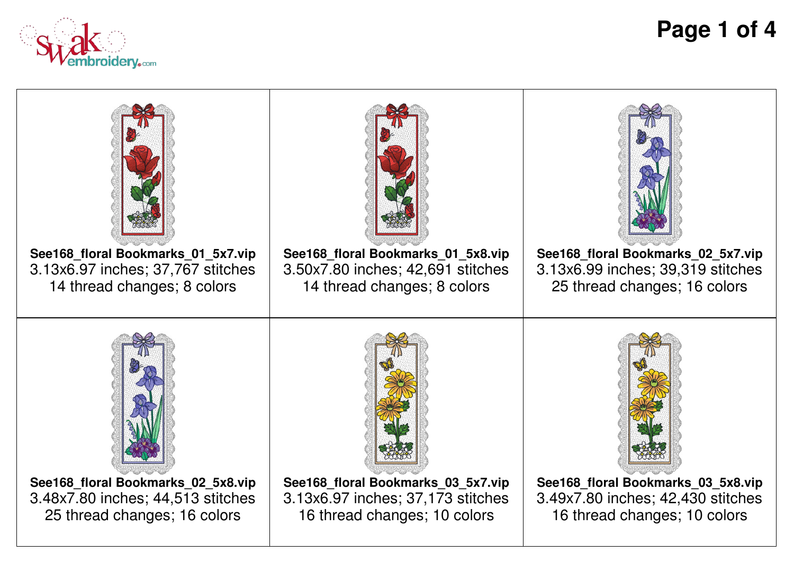

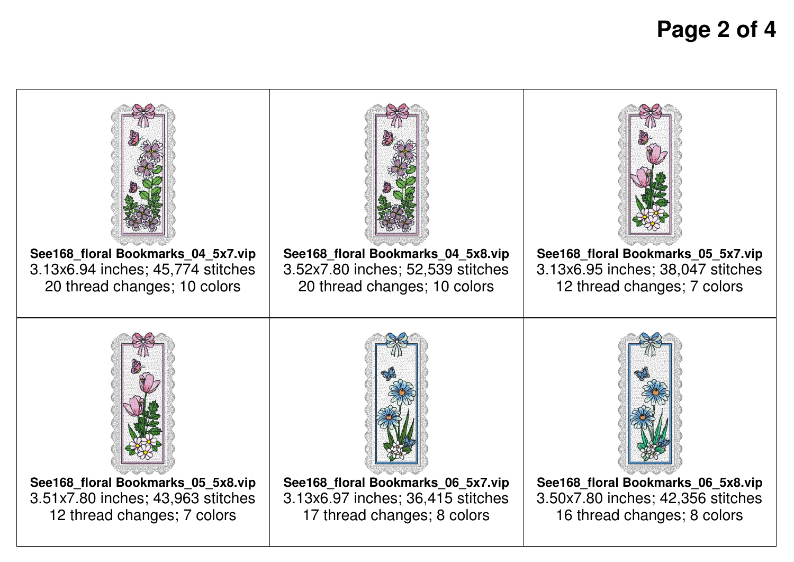## **Page 2 of 4**

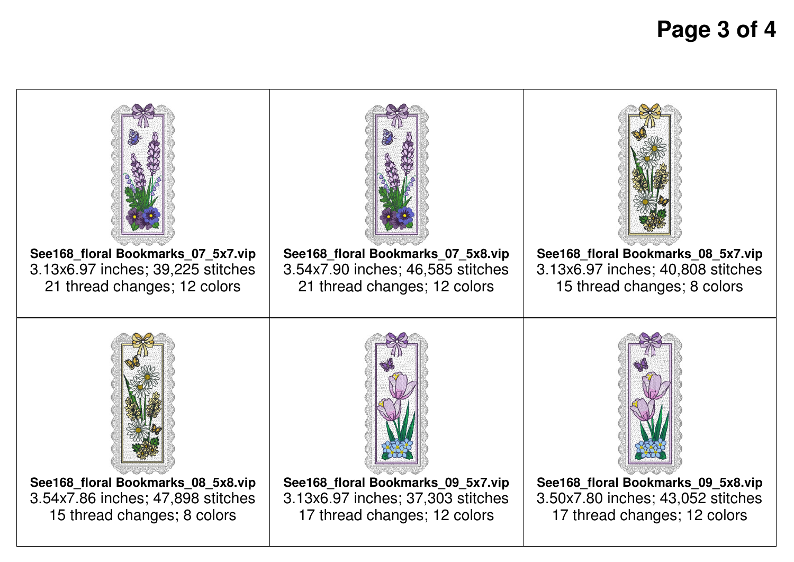## **Page 3 of 4**